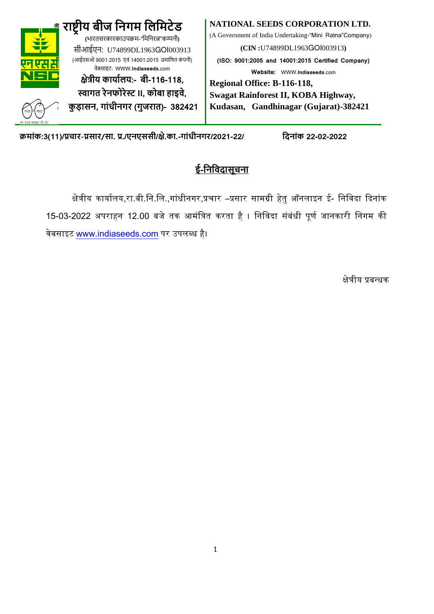

क्रमांक:3(11)/प्रचार-प्रसार/सा. प्र./एनएससी/क्षे.का.-गांधीनगर/2021-22/ दिनांक 22-02-2022

# **ई-दनदिि सूचन**

क्षेत्रीय कार्यालय,रा.बी.नि.लि.,गांधीनगर,प्रचार –प्रसार सामग्री हेतु ऑनलाइन ई- निविदा दिनांक 15-03-2022 अपराहन 12.00 बजे तक आमंत्रित करता है । निविदा संबंधी पूर्ण जानकारी निगम की िेबसाइट [www.indiaseeds](http://www.indiaseeds.com/).com पर उपलब्ध है।

क्षेत्रीय प्रबन्धक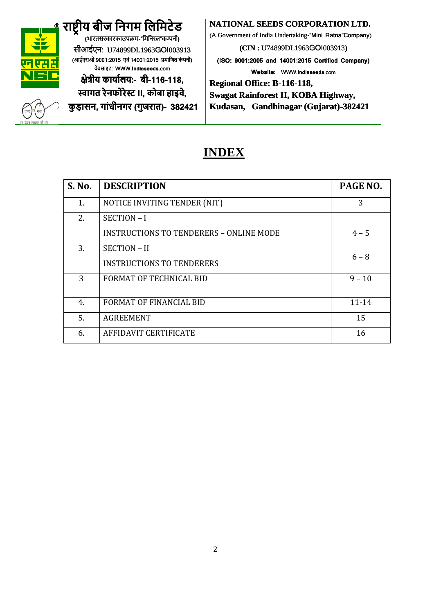

# **र ष्ट्रीय बीज दनगम दिदमटेड**

**(**भारतसरकारकाउपक्रम-"मममिरत्न"कम्पिी**)** सीआईएि: U74899DL1963GOI003913 (आईएसओ 9001:2015 एवं 14001:2015 प्रमाणित कंपनी) वेबसाइट: WWW.**Indiaseeds**.com

### **क्षेत्रीय क य ािय:- बी-116-118, स्व गत रेनफोरेस्ट II, कोब ह इिे,**

**कु ड़ सन, ग ांधीनगर (गुजर त)- 382421**

### **NATIONAL SEEDS CORPORATION LTD.**

(A Government of India Undertaking-"Mini Ratna"Company)

**(CIN :** U74899DL1963GOI003913**)**

**(ISO: 9001:2005 and 14001:2015 Certified Company) Website:** WWW.**Indiaseeds**.com

**Regional Office: B-116-118,** 

**Swagat Rainforest II, KOBA Highway,** 

**Kudasan, Gandhinagar (Gujarat)-382421**

# **INDEX**

| S. No. | <b>DESCRIPTION</b>                                          | PAGE NO.  |
|--------|-------------------------------------------------------------|-----------|
| 1.     | NOTICE INVITING TENDER (NIT)                                | 3         |
| 2.     | SECTION-I<br><b>INSTRUCTIONS TO TENDERERS - ONLINE MODE</b> | $4 - 5$   |
| 3.     | <b>SECTION - II</b><br><b>INSTRUCTIONS TO TENDERERS</b>     | $6 - 8$   |
| 3      | <b>FORMAT OF TECHNICAL BID</b>                              | $9 - 10$  |
| 4.     | <b>FORMAT OF FINANCIAL BID</b>                              | $11 - 14$ |
| 5.     | <b>AGREEMENT</b>                                            | 15        |
| 6.     | AFFIDAVIT CERTIFICATE                                       | 16        |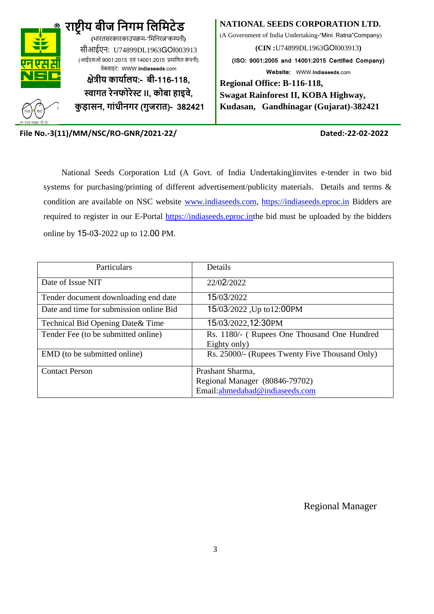

#### **NATIONAL SEEDS CORPORATION LTD.**

(A Government of India Undertaking-"Mini Ratna"Company)

**(CIN :**U74899DL1963GOI003913**)**

**(ISO: 9001:2005 and 14001:2015 Certified Company) Website:** WWW.**Indiaseeds**.com

**Regional Office: B-116-118, Swagat Rainforest II, KOBA Highway, Kudasan, Gandhinagar (Gujarat)-382421**

**File No.-3(11)/MM/NSC/RO-GNR/2021-22/ Dated:-22-02-2022**

 National Seeds Corporation Ltd (A Govt. of India Undertaking)invites e-tender in two bid systems for purchasing/printing of different advertisement/publicity materials. Details and terms & condition are available on NSC website [www.indiaseeds.com,](http://www.indiaseeds.com/) [https://indiaseeds.eproc.in](https://indiaseeds.eproc.in/) Bidders are required to register in our E-Portal [https://indiaseeds.eproc.int](https://indiaseeds.eproc.in/)he bid must be uploaded by the bidders online by 15-03-2022 up to 12.00 PM.

| Particulars                             | Details                                                     |
|-----------------------------------------|-------------------------------------------------------------|
| Date of Issue NIT                       | 22/02/2022                                                  |
| Tender document downloading end date    | 15/03/2022                                                  |
| Date and time for submission online Bid | 15/03/2022, Up to 12:00PM                                   |
| Technical Bid Opening Date & Time       | 15/03/2022,12:30PM                                          |
| Tender Fee (to be submitted online)     | Rs. 1180/- (Rupees One Thousand One Hundred<br>Eighty only) |
| EMD (to be submitted online)            | Rs. 25000/- (Rupees Twenty Five Thousand Only)              |
| <b>Contact Person</b>                   | Prashant Sharma,                                            |
|                                         | Regional Manager (80846-79702)                              |
|                                         | Email:ahmedabad@indiaseeds.com                              |

Regional Manager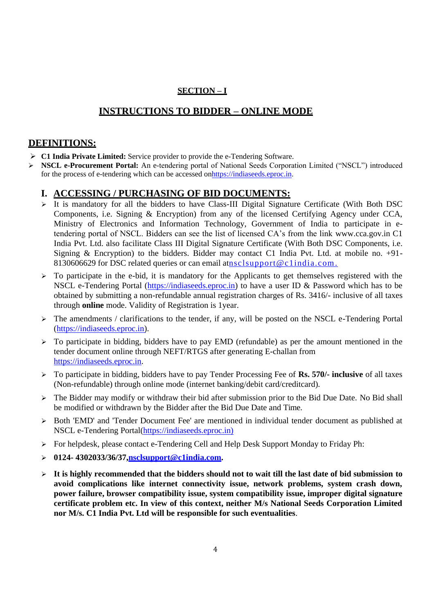### **SECTION – I**

### **INSTRUCTIONS TO BIDDER – ONLINE MODE**

### **DEFINITIONS:**

- ➢ **C1 India Private Limited:** Service provider to provide the e-Tendering Software.
- ➢ **NSCL e-Procurement Portal:** An e-tendering portal of National Seeds Corporation Limited ("NSCL") introduced for the process of e-tendering which can be accessed onhttps://indiaseeds.eproc.in.

### **I. ACCESSING / PURCHASING OF BID DOCUMENTS:**

- ➢ It is mandatory for all the bidders to have Class-III Digital Signature Certificate (With Both DSC Components, i.e. Signing & Encryption) from any of the licensed Certifying Agency under CCA, Ministry of Electronics and Information Technology, Government of India to participate in etendering portal of NSCL. Bidders can see the list of licensed CA's from the link [www.cca.gov.in](http://www.cca.gov.in/) C1 India Pvt. Ltd. also facilitate Class III Digital Signature Certificate (With Both DSC Components, i.e. Signing & Encryption) to the bidders. Bidder may contact C1 India Pvt. Ltd. at mobile no. +91- 8130606629 for DSC related queries or can email a[tnsclsupport@c1india.com.](mailto:nsclsupport@c1india.com)
- $\triangleright$  To participate in the e-bid, it is mandatory for the Applicants to get themselves registered with the NSCL e-Tendering Portal (https://indiaseeds.eproc.in) to have a user ID & Password which has to be obtained by submitting a non-refundable annual registration charges of Rs. 3416/- inclusive of all taxes through **online** mode. Validity of Registration is 1year.
- $\triangleright$  The amendments / clarifications to the tender, if any, will be posted on the NSCL e-Tendering Portal (https://indiaseeds.eproc.in).
- $\triangleright$  To participate in bidding, bidders have to pay EMD (refundable) as per the amount mentioned in the tender document online through NEFT/RTGS after generating E-challan from https://indiaseeds.eproc.in.
- ➢ To participate in bidding, bidders have to pay Tender Processing Fee of **Rs. 570/- inclusive** of all taxes (Non-refundable) through online mode (internet banking/debit card/creditcard).
- ➢ The Bidder may modify or withdraw their bid after submission prior to the Bid Due Date. No Bid shall be modified or withdrawn by the Bidder after the Bid Due Date and Time.
- ➢ Both 'EMD' and 'Tender Document Fee' are mentioned in individual tender document as published at NSCL e-Tendering Portal(https://indiaseeds.eproc.in)
- ➢ For helpdesk, please contact e-Tendering Cell and Help Desk Support Monday to Friday Ph:
- ➢ **0124- 4302033/36/37[,nsclsupport@c1india.com.](mailto:nsclsupport@c1india.com)**
- ➢ **It is highly recommended that the bidders should not to wait till the last date of bid submission to avoid complications like internet connectivity issue, network problems, system crash down, power failure, browser compatibility issue, system compatibility issue, improper digital signature certificate problem etc. In view of this context, neither M/s National Seeds Corporation Limited nor M/s. C1 India Pvt. Ltd will be responsible for such eventualities**.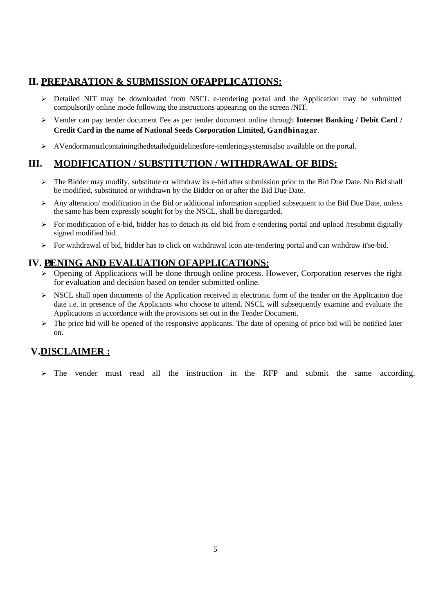### **II. PREPARATION & SUBMISSION OFAPPLICATIONS:**

- ➢ Detailed NIT may be downloaded from NSCL e-tendering portal and the Application may be submitted compulsorily online mode following the instructions appearing on the screen /NIT.
- ➢ Vender can pay tender document Fee as per tender document online through **Internet Banking / Debit Card / Credit Card in the name of National Seeds Corporation Limited, Gandhinagar**.
- ➢ AVendormanualcontainingthedetailedguidelinesfore-tenderingsystemisalso available on the portal.

### **III. MODIFICATION / SUBSTITUTION / WITHDRAWAL OF BIDS:**

- ➢ The Bidder may modify, substitute or withdraw its e-bid after submission prior to the Bid Due Date. No Bid shall be modified, substituted or withdrawn by the Bidder on or after the Bid Due Date.
- $\triangleright$  Any alteration/ modification in the Bid or additional information supplied subsequent to the Bid Due Date, unless the same has been expressly sought for by the NSCL, shall be disregarded.
- $\triangleright$  For modification of e-bid, bidder has to detach its old bid from e-tendering portal and upload /resubmit digitally signed modified bid.
- $\triangleright$  For withdrawal of bid, bidder has to click on withdrawal icon ate-tendering portal and can withdraw it'se-bid.

### IV. *OENING AND EVALUATION OFAPPLICATIONS:*

- ➢ Opening of Applications will be done through online process. However, Corporation reserves the right for evaluation and decision based on tender submitted online.
- ➢ NSCL shall open documents of the Application received in electronic form of the tender on the Application due date i.e. in presence of the Applicants who choose to attend. NSCL will subsequently examine and evaluate the Applications in accordance with the provisions set out in the Tender Document.
- $\triangleright$  The price bid will be opened of the responsive applicants. The date of opening of price bid will be notified later on.

### **V.DISCLAIMER :**

➢ The vender must read all the instruction in the RFP and submit the same according.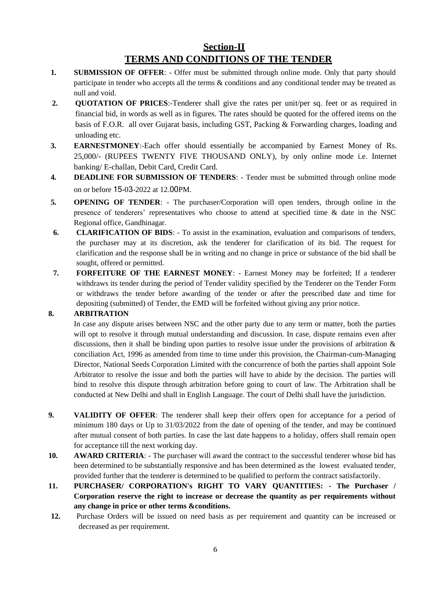### **Section-II TERMS AND CONDITIONS OF THE TENDER**

- **1. SUBMISSION OF OFFER**: Offer must be submitted through online mode. Only that party should participate in tender who accepts all the terms & conditions and any conditional tender may be treated as null and void.
- **2. QUOTATION OF PRICES:**-Tenderer shall give the rates per unit/per sq. feet or as required in financial bid, in words as well as in figures. The rates should be quoted for the offered items on the basis of F.O.R. all over Gujarat basis, including GST, Packing & Forwarding charges, loading and unloading etc.
- **3. EARNESTMONEY**:-Each offer should essentially be accompanied by Earnest Money of Rs. 25,000/- (RUPEES TWENTY FIVE THOUSAND ONLY), by only online mode i.e. Internet banking/ E-challan, Debit Card, Credit Card.
- **4. DEADLINE FOR SUBMISSION OF TENDERS**: Tender must be submitted through online mode on or before 15-03-2022 at 12.00PM.
- **5. OPENING OF TENDER**: The purchaser/Corporation will open tenders, through online in the presence of tenderers' representatives who choose to attend at specified time & date in the NSC Regional office, Gandhinagar.
- **6. CLARIFICATION OF BIDS**: To assist in the examination, evaluation and comparisons of tenders, the purchaser may at its discretion, ask the tenderer for clarification of its bid. The request for clarification and the response shall be in writing and no change in price or substance of the bid shall be sought, offered or permitted.
- **7. FORFEITURE OF THE EARNEST MONEY**: Earnest Money may be forfeited; If a tenderer withdraws its tender during the period of Tender validity specified by the Tenderer on the Tender Form or withdraws the tender before awarding of the tender or after the prescribed date and time for depositing (submitted) of Tender, the EMD will be forfeited without giving any prior notice.

#### **8. ARBITRATION**

In case any dispute arises between NSC and the other party due to any term or matter, both the parties will opt to resolve it through mutual understanding and discussion. In case, dispute remains even after discussions, then it shall be binding upon parties to resolve issue under the provisions of arbitration  $\&$ conciliation Act, 1996 as amended from time to time under this provision, the Chairman-cum-Managing Director, National Seeds Corporation Limited with the concurrence of both the parties shall appoint Sole Arbitrator to resolve the issue and both the parties will have to abide by the decision. The parties will bind to resolve this dispute through arbitration before going to court of law. The Arbitration shall be conducted at New Delhi and shall in English Language. The court of Delhi shall have the jurisdiction.

- **9. VALIDITY OF OFFER**: The tenderer shall keep their offers open for acceptance for a period of minimum 180 days or Up to 31/03/2022 from the date of opening of the tender, and may be continued after mutual consent of both parties. In case the last date happens to a holiday, offers shall remain open for acceptance till the next working day.
- **10. AWARD CRITERIA**: The purchaser will award the contract to the successful tenderer whose bid has been determined to be substantially responsive and has been determined as the lowest evaluated tender, provided further that the tenderer is determined to be qualified to perform the contract satisfactorily.
- **11. PURCHASER/ CORPORATION's RIGHT TO VARY QUANTITIES: - The Purchaser / Corporation reserve the right to increase or decrease the quantity as per requirements without any change in price or other terms &conditions.**
- **12.** Purchase Orders will be issued on need basis as per requirement and quantity can be increased or decreased as per requirement.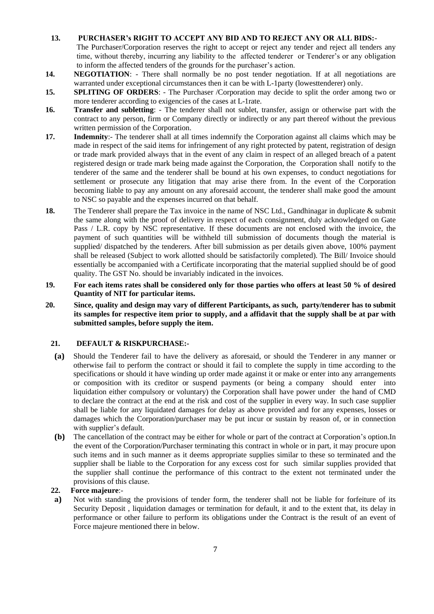- **13. PURCHASER's RIGHT TO ACCEPT ANY BID AND TO REJECT ANY OR ALL BIDS:** The Purchaser/Corporation reserves the right to accept or reject any tender and reject all tenders any time, without thereby, incurring any liability to the affected tenderer or Tenderer's or any obligation to inform the affected tenders of the grounds for the purchaser's action.
- **14. NEGOTIATION:** There shall normally be no post tender negotiation. If at all negotiations are warranted under exceptional circumstances then it can be with L-1party (lowesttenderer) only.
- **15. SPLITING OF ORDERS**: The Purchaser /Corporation may decide to split the order among two or more tenderer according to exigencies of the cases at L-1rate.
- **16. Transfer and subletting**: The tenderer shall not sublet, transfer, assign or otherwise part with the contract to any person, firm or Company directly or indirectly or any part thereof without the previous written permission of the Corporation.
- **17. Indemnity**:- The tenderer shall at all times indemnify the Corporation against all claims which may be made in respect of the said items for infringement of any right protected by patent, registration of design or trade mark provided always that in the event of any claim in respect of an alleged breach of a patent registered design or trade mark being made against the Corporation, the Corporation shall notify to the tenderer of the same and the tenderer shall be bound at his own expenses, to conduct negotiations for settlement or prosecute any litigation that may arise there from. In the event of the Corporation becoming liable to pay any amount on any aforesaid account, the tenderer shall make good the amount to NSC so payable and the expenses incurred on that behalf.
- **18.** The Tenderer shall prepare the Tax invoice in the name of NSC Ltd., Gandhinagar in duplicate & submit the same along with the proof of delivery in respect of each consignment, duly acknowledged on Gate Pass / L.R. copy by NSC representative. If these documents are not enclosed with the invoice, the payment of such quantities will be withheld till submission of documents though the material is supplied/ dispatched by the tenderers. After bill submission as per details given above, 100% payment shall be released (Subject to work allotted should be satisfactorily completed). The Bill/ Invoice should essentially be accompanied with a Certificate incorporating that the material supplied should be of good quality. The GST No. should be invariably indicated in the invoices.
- **19. For each items rates shall be considered only for those parties who offers at least 50 % of desired Quantity of NIT for particular items.**
- **20. Since, quality and design may vary of different Participants, as such, party/tenderer has to submit its samples for respective item prior to supply, and a affidavit that the supply shall be at par with submitted samples, before supply the item.**

#### **21. DEFAULT & RISKPURCHASE:-**

- **(a)** Should the Tenderer fail to have the delivery as aforesaid, or should the Tenderer in any manner or otherwise fail to perform the contract or should it fail to complete the supply in time according to the specifications or should it have winding up order made against it or make or enter into any arrangements or composition with its creditor or suspend payments (or being a company should enter into liquidation either compulsory or voluntary) the Corporation shall have power under the hand of CMD to declare the contract at the end at the risk and cost of the supplier in every way. In such case supplier shall be liable for any liquidated damages for delay as above provided and for any expenses, losses or damages which the Corporation/purchaser may be put incur or sustain by reason of, or in connection with supplier's default.
- **(b)** The cancellation of the contract may be either for whole or part of the contract at Corporation's option.In the event of the Corporation/Purchaser terminating this contract in whole or in part, it may procure upon such items and in such manner as it deems appropriate supplies similar to these so terminated and the supplier shall be liable to the Corporation for any excess cost for such similar supplies provided that the supplier shall continue the performance of this contract to the extent not terminated under the provisions of this clause.

#### **22. Force majeure**:-

**a)** Not with standing the provisions of tender form, the tenderer shall not be liable for forfeiture of its Security Deposit , liquidation damages or termination for default, it and to the extent that, its delay in performance or other failure to perform its obligations under the Contract is the result of an event of Force majeure mentioned there in below.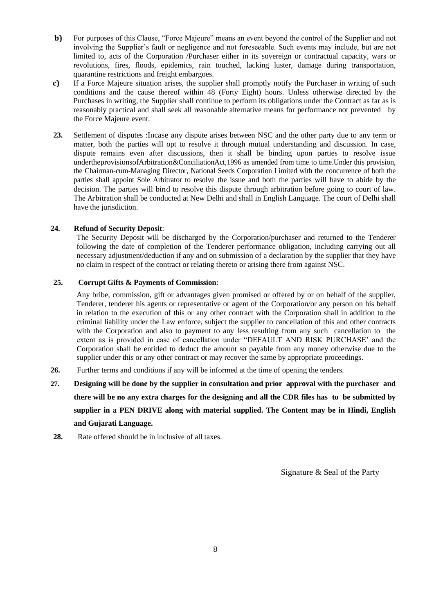- **b)** For purposes of this Clause, "Force Majeure" means an event beyond the control of the Supplier and not involving the Supplier's fault or negligence and not foreseeable. Such events may include, but are not limited to, acts of the Corporation /Purchaser either in its sovereign or contractual capacity, wars or revolutions, fires, floods, epidemics, rain touched, lacking luster, damage during transportation, quarantine restrictions and freight embargoes.
- **c)** If a Force Majeure situation arises, the supplier shall promptly notify the Purchaser in writing of such conditions and the cause thereof within 48 (Forty Eight) hours. Unless otherwise directed by the Purchases in writing, the Supplier shall continue to perform its obligations under the Contract as far as is reasonably practical and shall seek all reasonable alternative means for performance not prevented by the Force Majeure event.
- **23.** Settlement of disputes :Incase any dispute arises between NSC and the other party due to any term or matter, both the parties will opt to resolve it through mutual understanding and discussion. In case, dispute remains even after discussions, then it shall be binding upon parties to resolve issue undertheprovisionsofArbitration&ConciliationAct,1996 as amended from time to time.Under this provision, the Chairman-cum-Managing Director, National Seeds Corporation Limited with the concurrence of both the parties shall appoint Sole Arbitrator to resolve the issue and both the parties will have to abide by the decision. The parties will bind to resolve this dispute through arbitration before going to court of law. The Arbitration shall be conducted at New Delhi and shall in English Language. The court of Delhi shall have the jurisdiction.

#### **24. Refund of Security Deposit**:

The Security Deposit will be discharged by the Corporation/purchaser and returned to the Tenderer following the date of completion of the Tenderer performance obligation, including carrying out all necessary adjustment/deduction if any and on submission of a declaration by the supplier that they have no claim in respect of the contract or relating thereto or arising there from against NSC.

#### **25. Corrupt Gifts & Payments of Commission**:

Any bribe, commission, gift or advantages given promised or offered by or on behalf of the supplier, Tenderer, tenderer his agents or representative or agent of the Corporation/or any person on his behalf in relation to the execution of this or any other contract with the Corporation shall in addition to the criminal liability under the Law enforce, subject the supplier to cancellation of this and other contracts with the Corporation and also to payment to any less resulting from any such cancellation to the extent as is provided in case of cancellation under "DEFAULT AND RISK PURCHASE' and the Corporation shall be entitled to deduct the amount so payable from any money otherwise due to the supplier under this or any other contract or may recover the same by appropriate proceedings.

- **26.** Further terms and conditions if any will be informed at the time of opening the tenders.
- **27. Designing will be done by the supplier in consultation and prior approval with the purchaser and there will be no any extra charges for the designing and all the CDR files has to be submitted by supplier in a PEN DRIVE along with material supplied. The Content may be in Hindi, English and Gujarati Language.**
- 28. Rate offered should be in inclusive of all taxes.

Signature & Seal of the Party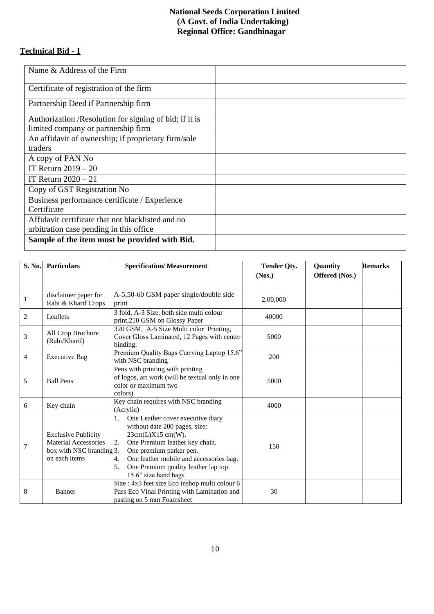### **National Seeds Corporation Limited (A Govt. of India Undertaking) Regional Office: Gandhinagar**

### **Technical Bid - 1**

| Name & Address of the Firm                              |  |
|---------------------------------------------------------|--|
| Certificate of registration of the firm                 |  |
| Partnership Deed if Partnership firm                    |  |
| Authorization / Resolution for signing of bid; if it is |  |
| limited company or partnership firm                     |  |
| An affidavit of ownership; if proprietary firm/sole     |  |
| traders                                                 |  |
| A copy of PAN No                                        |  |
| IT Return $2019 - 20$                                   |  |
| IT Return $2020 - 21$                                   |  |
| Copy of GST Registration No                             |  |
| Business performance certificate / Experience           |  |
| Certificate                                             |  |
| Affidavit certificate that not blacklisted and no       |  |
| arbitration case pending in this office                 |  |
| Sample of the item must be provided with Bid.           |  |
|                                                         |  |

| S. No.       | Particulars                                                                                            | <b>Specification/Measurement</b>                                                                                                                                                                                                                                                      | <b>Tender Qty.</b><br>(Nos.) | Quantity<br>Offered (Nos.) | <b>Remarks</b> |
|--------------|--------------------------------------------------------------------------------------------------------|---------------------------------------------------------------------------------------------------------------------------------------------------------------------------------------------------------------------------------------------------------------------------------------|------------------------------|----------------------------|----------------|
|              |                                                                                                        |                                                                                                                                                                                                                                                                                       |                              |                            |                |
| $\mathbf{1}$ | disclaimer paper for<br>Rabi & Kharif Crops                                                            | A-5,50-60 GSM paper single/double side<br>print                                                                                                                                                                                                                                       | 2,00,000                     |                            |                |
| 2            | Leaflets                                                                                               | 3 fold, A-3 Size, both side multi colour<br>print, 210 GSM on Glossy Paper                                                                                                                                                                                                            | 40000                        |                            |                |
| 3            | All Crop Brochure<br>(Rabi/Kharif)                                                                     | 320 GSM, A-5 Size Multi color Printing,<br>Cover Gloss Laminated, 12 Pages with center<br>binding.                                                                                                                                                                                    | 5000                         |                            |                |
| 4            | <b>Executive Bag</b>                                                                                   | Premium Quality Bags Carrying Laptop 15.6"<br>with NSC branding                                                                                                                                                                                                                       |                              |                            |                |
| 5            | <b>Ball Pens</b>                                                                                       | Pens with printing with printing<br>of logos, art work (will be textual only in one<br>color or maximum two<br>colors)                                                                                                                                                                | 5000                         |                            |                |
| 6            | Key chain                                                                                              | Key chain requires with NSC branding<br>(Acrylic)                                                                                                                                                                                                                                     | 4000                         |                            |                |
| 7            | <b>Exclusive Publicity</b><br><b>Material Accessories</b><br>box with NSC branding 3.<br>on each items | One Leather cover executive diary<br>1.<br>without date 200 pages, size:<br>23cm(L)X15cm(W).<br>One Premium leather key chain.<br>2.<br>One premium parker pen.<br>One leather mobile and accessories bag.<br>4.<br>One Premium quality leather lap top<br>5.<br>15.6" size hand bags | 150                          |                            |                |
| 8            | Banner                                                                                                 | Size : 4x3 feet size Eco inshop multi colour 6<br>Pass Eco Vinal Printing with Lamination and<br>pasting on 5 mm Foamsheet                                                                                                                                                            | 30                           |                            |                |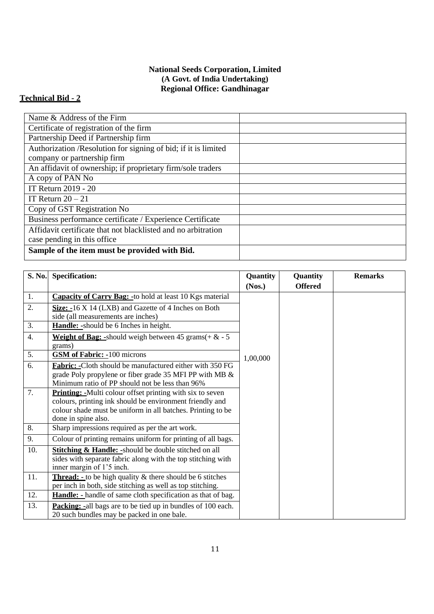### **National Seeds Corporation, Limited (A Govt. of India Undertaking) Regional Office: Gandhinagar**

### **Technical Bid - 2**

| Name & Address of the Firm                                     |  |
|----------------------------------------------------------------|--|
| Certificate of registration of the firm                        |  |
| Partnership Deed if Partnership firm                           |  |
| Authorization /Resolution for signing of bid; if it is limited |  |
| company or partnership firm                                    |  |
| An affidavit of ownership; if proprietary firm/sole traders    |  |
| A copy of PAN No                                               |  |
| IT Return 2019 - 20                                            |  |
| IT Return $20 - 21$                                            |  |
| Copy of GST Registration No                                    |  |
| Business performance certificate / Experience Certificate      |  |
| Affidavit certificate that not blacklisted and no arbitration  |  |
| case pending in this office.                                   |  |
| Sample of the item must be provided with Bid.                  |  |

| S. No.           | <b>Specification:</b>                                               | Quantity | Quantity       | <b>Remarks</b> |
|------------------|---------------------------------------------------------------------|----------|----------------|----------------|
|                  |                                                                     | (Nos.)   | <b>Offered</b> |                |
| 1.               | <b>Capacity of Carry Bag: - to hold at least 10 Kgs material</b>    |          |                |                |
| 2.               | Size: -16 X 14 (LXB) and Gazette of 4 Inches on Both                |          |                |                |
|                  | side (all measurements are inches)                                  |          |                |                |
| 3.               | Handle: -should be 6 Inches in height.                              |          |                |                |
| $\overline{4}$ . | <b>Weight of Bag:</b> -should weigh between 45 grams( $+ \& -5$     |          |                |                |
|                  | grams)                                                              |          |                |                |
| 5.               | <b>GSM of Fabric: - 100 microns</b>                                 | 1,00,000 |                |                |
| 6.               | Fabric: -Cloth should be manufactured either with 350 FG            |          |                |                |
|                  | grade Poly propylene or fiber grade 35 MFI PP with MB &             |          |                |                |
|                  | Minimum ratio of PP should not be less than 96%                     |          |                |                |
| 7.               | <b>Printing:</b> -Multi colour offset printing with six to seven    |          |                |                |
|                  | colours, printing ink should be environment friendly and            |          |                |                |
|                  | colour shade must be uniform in all batches. Printing to be         |          |                |                |
|                  | done in spine also.                                                 |          |                |                |
| 8.               | Sharp impressions required as per the art work.                     |          |                |                |
| 9.               | Colour of printing remains uniform for printing of all bags.        |          |                |                |
| 10.              | <b>Stitching &amp; Handle: -</b> should be double stitched on all   |          |                |                |
|                  | sides with separate fabric along with the top stitching with        |          |                |                |
|                  | inner margin of 1'5 inch.                                           |          |                |                |
| 11.              | <b>Thread:</b> - to be high quality $\&$ there should be 6 stitches |          |                |                |
|                  | per inch in both, side stitching as well as top stitching.          |          |                |                |
| 12.              | <b>Handle:</b> - handle of same cloth specification as that of bag. |          |                |                |
| 13.              | <b>Packing:</b> -all bags are to be tied up in bundles of 100 each. |          |                |                |
|                  | 20 such bundles may be packed in one bale.                          |          |                |                |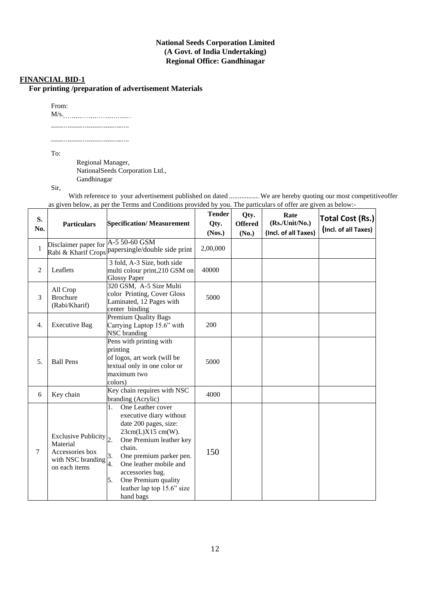#### **National Seeds Corporation Limited (A Govt. of India Undertaking) Regional Office: Gandhinagar**

#### **FINANCIAL BID-1**

**For printing /preparation of advertisement Materials**

From:

M/s. ------------------------------------

To:

Regional Manager, NationalSeeds Corporation Ltd., Gandhinagar

Sir,

With reference to your advertisement published on dated ................... We are hereby quoting our most competitiveoffer as given below, as per the Terms and Conditions provided by you. The particulars of offer are given as below:-

| S.<br>No.        | <b>Particulars</b>                                                                                   | <b>Specification/Measurement</b>                                                                                                                                                                                                                                                                   | <b>Tender</b><br>Qty.<br>(Nos.) | Qty.<br><b>Offered</b><br>(No.) | Rate<br>$(Rs$ ./Unit/No.)<br>(Incl. of all Taxes) | <b>Total Cost (Rs.)</b><br>(Incl. of all Taxes) |
|------------------|------------------------------------------------------------------------------------------------------|----------------------------------------------------------------------------------------------------------------------------------------------------------------------------------------------------------------------------------------------------------------------------------------------------|---------------------------------|---------------------------------|---------------------------------------------------|-------------------------------------------------|
| $\mathbf{1}$     | Disclaimer paper for A-5 50-60 GSM                                                                   | Rabi & Kharif Crops papersingle/double side print                                                                                                                                                                                                                                                  | 2,00,000                        |                                 |                                                   |                                                 |
| $\overline{2}$   | Leaflets                                                                                             | 3 fold, A-3 Size, both side<br>multi colour print, 210 GSM on<br><b>Glossy Paper</b>                                                                                                                                                                                                               | 40000                           |                                 |                                                   |                                                 |
| 3                | All Crop<br><b>Brochure</b><br>(Rabi/Kharif)                                                         | 320 GSM, A-5 Size Multi<br>color Printing, Cover Gloss<br>Laminated, 12 Pages with<br>center binding                                                                                                                                                                                               | 5000                            |                                 |                                                   |                                                 |
| $\overline{4}$ . | <b>Executive Bag</b>                                                                                 | Premium Quality Bags<br>Carrying Laptop 15.6" with<br>NSC branding                                                                                                                                                                                                                                 | 200                             |                                 |                                                   |                                                 |
| 5.               | <b>Ball Pens</b>                                                                                     | Pens with printing with<br>printing<br>of logos, art work (will be<br>textual only in one color or<br>maximum two<br>colors)                                                                                                                                                                       | 5000                            |                                 |                                                   |                                                 |
| 6                | Key chain                                                                                            | Key chain requires with NSC<br>branding (Acrylic)                                                                                                                                                                                                                                                  | 4000                            |                                 |                                                   |                                                 |
| 7                | Exclusive Publicity $\vert_2$ .<br>Material<br>Accessories box<br>with NSC branding<br>on each items | One Leather cover<br>1.<br>executive diary without<br>date 200 pages, size:<br>23cm(L)X15 cm(W).<br>One Premium leather key<br>chain.<br>One premium parker pen.<br>3.<br>4.<br>One leather mobile and<br>accessories bag.<br>5.<br>One Premium quality<br>leather lap top 15.6" size<br>hand bags | 150                             |                                 |                                                   |                                                 |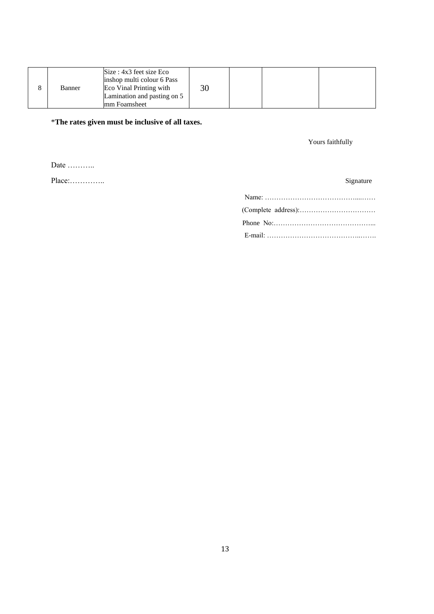|  | Banner | Size : 4x3 feet size Eco<br>inshop multi colour 6 Pass<br>Eco Vinal Printing with<br>Lamination and pasting on 5<br>mm Foamsheet | 30 |  |  |  |
|--|--------|----------------------------------------------------------------------------------------------------------------------------------|----|--|--|--|
|--|--------|----------------------------------------------------------------------------------------------------------------------------------|----|--|--|--|

\***The rates given must be inclusive of all taxes.**

Yours faithfully

Date ………..

Place:………….. Signature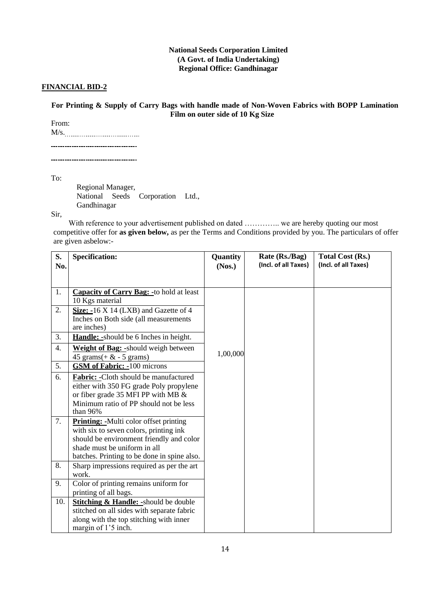#### **National Seeds Corporation Limited (A Govt. of India Undertaking) Regional Office: Gandhinagar**

#### **FINANCIAL BID-2**

#### **For Printing & Supply of Carry Bags with handle made of Non-Woven Fabrics with BOPP Lamination Film on outer side of 10 Kg Size**

From: M/s. -------------------------------------

-------------------------------------

To:

Regional Manager, National Seeds Corporation Ltd., Gandhinagar

Sir,

With reference to your advertisement published on dated ………….. we are hereby quoting our most competitive offer for **as given below,** as per the Terms and Conditions provided by you. The particulars of offer are given asbelow:-

| S.<br>No.        | <b>Specification:</b>                                                                                                                                                                                              | <b>Quantity</b><br>(Nos.) | Rate (Rs./Bag)<br>(Incl. of all Taxes) | <b>Total Cost (Rs.)</b><br>(Incl. of all Taxes) |
|------------------|--------------------------------------------------------------------------------------------------------------------------------------------------------------------------------------------------------------------|---------------------------|----------------------------------------|-------------------------------------------------|
|                  |                                                                                                                                                                                                                    |                           |                                        |                                                 |
| 1.               | <b>Capacity of Carry Bag: - to hold at least</b><br>10 Kgs material                                                                                                                                                |                           |                                        |                                                 |
| 2.               | Size: -16 X 14 (LXB) and Gazette of 4<br>Inches on Both side (all measurements<br>are inches)                                                                                                                      |                           |                                        |                                                 |
| 3.               | <b>Handle:</b> -should be 6 Inches in height.                                                                                                                                                                      |                           |                                        |                                                 |
| $\overline{4}$ . | Weight of Bag: -should weigh between<br>45 grams(+ $\&$ - 5 grams)                                                                                                                                                 | 1,00,000                  |                                        |                                                 |
| 5.               | <b>GSM of Fabric: -100 microns</b>                                                                                                                                                                                 |                           |                                        |                                                 |
| 6.               | Fabric: - Cloth should be manufactured<br>either with 350 FG grade Poly propylene<br>or fiber grade 35 MFI PP with MB $\&$<br>Minimum ratio of PP should not be less<br>than 96%                                   |                           |                                        |                                                 |
| 7.               | <b>Printing:</b> -Multi color offset printing<br>with six to seven colors, printing ink<br>should be environment friendly and color<br>shade must be uniform in all<br>batches. Printing to be done in spine also. |                           |                                        |                                                 |
| 8.               | Sharp impressions required as per the art<br>work.                                                                                                                                                                 |                           |                                        |                                                 |
| 9.               | Color of printing remains uniform for<br>printing of all bags.                                                                                                                                                     |                           |                                        |                                                 |
| 10.              | <b>Stitching &amp; Handle: -</b> should be double<br>stitched on all sides with separate fabric<br>along with the top stitching with inner<br>margin of 1'5 inch.                                                  |                           |                                        |                                                 |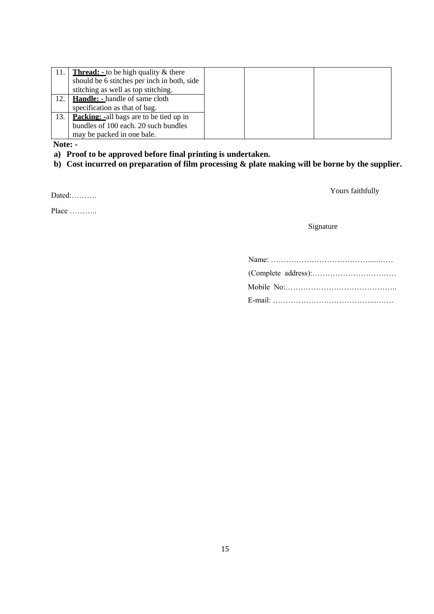| 11. | <b>Thread:</b> - to be high quality $\&$ there |
|-----|------------------------------------------------|
|     | should be 6 stitches per inch in both, side    |
|     | stitching as well as top stitching.            |
| 12. | <b>Handle:</b> - handle of same cloth          |
|     | specification as that of bag.                  |
| 13. | <b>Packing:</b> -all bags are to be tied up in |
|     | bundles of 100 each. 20 such bundles           |
|     | may be packed in one bale.                     |

**Note: -**

- **a) Proof to be approved before final printing is undertaken.**
- **b) Cost incurred on preparation of film processing & plate making will be borne by the supplier.**

Place …………

## Dated:………. Yours faithfully

Signature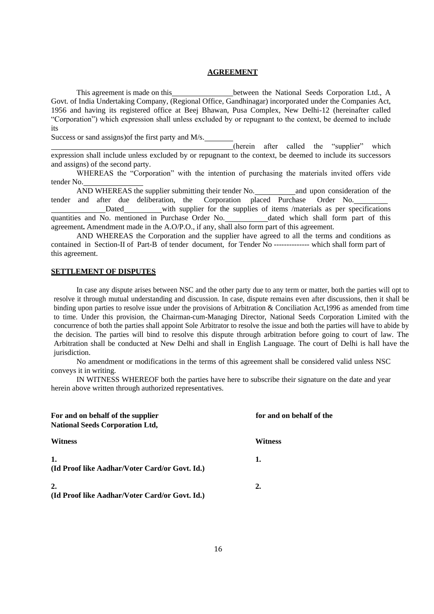#### **AGREEMENT**

This agreement is made on this between the National Seeds Corporation Ltd., A Govt. of India Undertaking Company, (Regional Office, Gandhinagar) incorporated under the Companies Act, 1956 and having its registered office at Beej Bhawan, Pusa Complex, New Delhi-12 (hereinafter called "Corporation") which expression shall unless excluded by or repugnant to the context, be deemed to include its

Success or sand assigns)of the first party and M/s.

(herein after called the "supplier" which expression shall include unless excluded by or repugnant to the context, be deemed to include its successors and assigns) of the second party.

WHEREAS the "Corporation" with the intention of purchasing the materials invited offers vide tender No.

AND WHEREAS the supplier submitting their tender No. and upon consideration of the and after due deliberation, the Corporation placed Purchase Order No. tender and after due deliberation, the Corporation placed Purchase Order No.

Dated with supplier for the supplies of items /materials as per specifications quantities and No. mentioned in Purchase Order No. dated which shall form part of this agreement**.** Amendment made in the A.O/P.O., if any, shall also form part of this agreement.

AND WHEREAS the Corporation and the supplier have agreed to all the terms and conditions as contained in Section-II of Part-B of tender document, for Tender No -------------- which shall form part of this agreement.

#### **SETTLEMENT OF DISPUTES**

In case any dispute arises between NSC and the other party due to any term or matter, both the parties will opt to resolve it through mutual understanding and discussion. In case, dispute remains even after discussions, then it shall be binding upon parties to resolve issue under the provisions of Arbitration & Conciliation Act,1996 as amended from time to time. Under this provision, the Chairman-cum-Managing Director, National Seeds Corporation Limited with the concurrence of both the parties shall appoint Sole Arbitrator to resolve the issue and both the parties will have to abide by the decision. The parties will bind to resolve this dispute through arbitration before going to court of law. The Arbitration shall be conducted at New Delhi and shall in English Language. The court of Delhi is hall have the jurisdiction.

No amendment or modifications in the terms of this agreement shall be considered valid unless NSC conveys it in writing.

IN WITNESS WHEREOF both the parties have here to subscribe their signature on the date and year herein above written through authorized representatives.

| For and on behalf of the supplier<br><b>National Seeds Corporation Ltd,</b> | for and on behalf of the |
|-----------------------------------------------------------------------------|--------------------------|
| <b>Witness</b>                                                              | Witness                  |
| 1.<br>(Id Proof like Aadhar/Voter Card/or Govt. Id.)                        | 1.                       |
| 2.<br>(Id Proof like Aadhar/Voter Card/or Govt. Id.)                        | 2.                       |